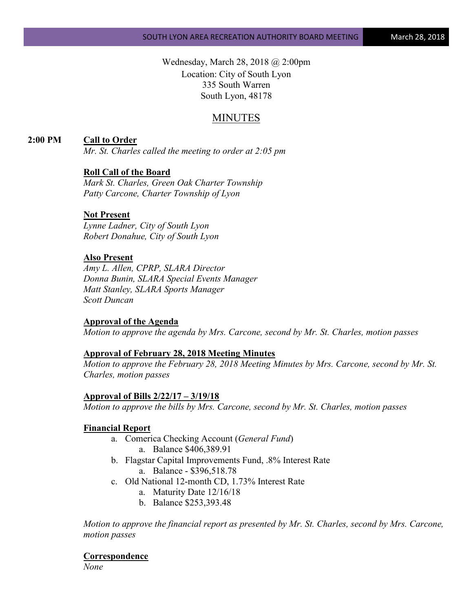Wednesday, March 28, 2018 @ 2:00pm Location: City of South Lyon 335 South Warren South Lyon, 48178

# MINUTES

## **2:00 PM Call to Order**

*Mr. St. Charles called the meeting to order at 2:05 pm*

### **Roll Call of the Board**

*Mark St. Charles, Green Oak Charter Township Patty Carcone, Charter Township of Lyon* 

#### **Not Present**

*Lynne Ladner, City of South Lyon Robert Donahue, City of South Lyon*

## **Also Present**

*Amy L. Allen, CPRP, SLARA Director Donna Bunin, SLARA Special Events Manager Matt Stanley, SLARA Sports Manager Scott Duncan*

#### **Approval of the Agenda**

*Motion to approve the agenda by Mrs. Carcone, second by Mr. St. Charles, motion passes*

#### **Approval of February 28, 2018 Meeting Minutes**

*Motion to approve the February 28, 2018 Meeting Minutes by Mrs. Carcone, second by Mr. St. Charles, motion passes*

#### **Approval of Bills 2/22/17 – 3/19/18**

*Motion to approve the bills by Mrs. Carcone, second by Mr. St. Charles, motion passes*

#### **Financial Report**

- a. Comerica Checking Account (*General Fund*) a. Balance \$406,389.91
- b. Flagstar Capital Improvements Fund, .8% Interest Rate a. Balance - \$396,518.78
- c. Old National 12-month CD, 1.73% Interest Rate
	- a. Maturity Date 12/16/18
	- b. Balance \$253,393.48

*Motion to approve the financial report as presented by Mr. St. Charles, second by Mrs. Carcone, motion passes*

**Correspondence**

*None*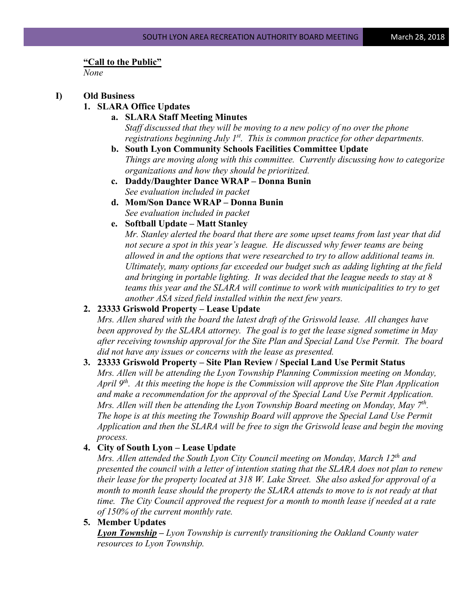#### **"Call to the Public"**

*None*

## **I) Old Business**

## **1. SLARA Office Updates**

**a. SLARA Staff Meeting Minutes**

*Staff discussed that they will be moving to a new policy of no over the phone registrations beginning July 1st. This is common practice for other departments.* 

- **b. South Lyon Community Schools Facilities Committee Update** *Things are moving along with this committee. Currently discussing how to categorize organizations and how they should be prioritized.*
- **c. Daddy/Daughter Dance WRAP – Donna Bunin** *See evaluation included in packet*
- **d. Mom/Son Dance WRAP – Donna Bunin** *See evaluation included in packet*
- **e. Softball Update – Matt Stanley**

*Mr. Stanley alerted the board that there are some upset teams from last year that did not secure a spot in this year's league. He discussed why fewer teams are being allowed in and the options that were researched to try to allow additional teams in. Ultimately, many options far exceeded our budget such as adding lighting at the field and bringing in portable lighting. It was decided that the league needs to stay at 8 teams this year and the SLARA will continue to work with municipalities to try to get another ASA sized field installed within the next few years.*

## **2. 23333 Griswold Property – Lease Update**

*Mrs. Allen shared with the board the latest draft of the Griswold lease. All changes have been approved by the SLARA attorney. The goal is to get the lease signed sometime in May after receiving township approval for the Site Plan and Special Land Use Permit. The board did not have any issues or concerns with the lease as presented.*

## **3. 23333 Griswold Property – Site Plan Review / Special Land Use Permit Status**

*Mrs. Allen will be attending the Lyon Township Planning Commission meeting on Monday, April 9th. At this meeting the hope is the Commission will approve the Site Plan Application and make a recommendation for the approval of the Special Land Use Permit Application. Mrs. Allen will then be attending the Lyon Township Board meeting on Monday, May 7th. The hope is at this meeting the Township Board will approve the Special Land Use Permit Application and then the SLARA will be free to sign the Griswold lease and begin the moving process.*

## **4. City of South Lyon – Lease Update**

*Mrs. Allen attended the South Lyon City Council meeting on Monday, March 12th and presented the council with a letter of intention stating that the SLARA does not plan to renew their lease for the property located at 318 W. Lake Street. She also asked for approval of a month to month lease should the property the SLARA attends to move to is not ready at that time. The City Council approved the request for a month to month lease if needed at a rate of 150% of the current monthly rate.*

**5. Member Updates**

*Lyon Township – Lyon Township is currently transitioning the Oakland County water resources to Lyon Township.*